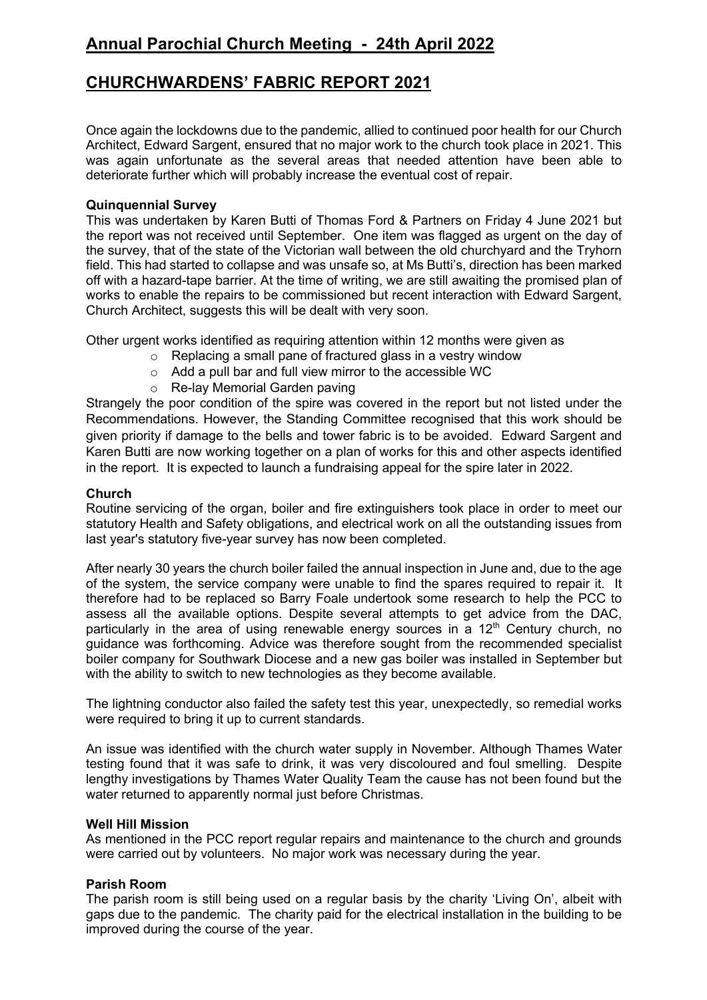# **Annual Parochial Church Meeting - 24th April 2022**

## **CHURCHWARDENS' FABRIC REPORT 2021**

Once again the lockdowns due to the pandemic, allied to continued poor health for our Church Architect, Edward Sargent, ensured that no major work to the church took place in 2021. This was again unfortunate as the several areas that needed attention have been able to deteriorate further which will probably increase the eventual cost of repair.

## **Quinquennial Survey**

This was undertaken by Karen Butti of Thomas Ford & Partners on Friday 4 June 2021 but the report was not received until September. One item was flagged as urgent on the day of the survey, that of the state of the Victorian wall between the old churchyard and the Tryhorn field. This had started to collapse and was unsafe so, at Ms Butti's, direction has been marked off with a hazard-tape barrier. At the time of writing, we are still awaiting the promised plan of works to enable the repairs to be commissioned but recent interaction with Edward Sargent, Church Architect, suggests this will be dealt with very soon.

Other urgent works identified as requiring attention within 12 months were given as

- o Replacing a small pane of fractured glass in a vestry window
- o Add a pull bar and full view mirror to the accessible WC
- o Re-lay Memorial Garden paving

Strangely the poor condition of the spire was covered in the report but not listed under the Recommendations. However, the Standing Committee recognised that this work should be given priority if damage to the bells and tower fabric is to be avoided. Edward Sargent and Karen Butti are now working together on a plan of works for this and other aspects identified in the report. It is expected to launch a fundraising appeal for the spire later in 2022.

#### **Church**

Routine servicing of the organ, boiler and fire extinguishers took place in order to meet our statutory Health and Safety obligations, and electrical work on all the outstanding issues from last year's statutory five-year survey has now been completed.

After nearly 30 years the church boiler failed the annual inspection in June and, due to the age of the system, the service company were unable to find the spares required to repair it. It therefore had to be replaced so Barry Foale undertook some research to help the PCC to assess all the available options. Despite several attempts to get advice from the DAC, particularly in the area of using renewable energy sources in a  $12<sup>th</sup>$  Century church, no guidance was forthcoming. Advice was therefore sought from the recommended specialist boiler company for Southwark Diocese and a new gas boiler was installed in September but with the ability to switch to new technologies as they become available.

The lightning conductor also failed the safety test this year, unexpectedly, so remedial works were required to bring it up to current standards.

An issue was identified with the church water supply in November. Although Thames Water testing found that it was safe to drink, it was very discoloured and foul smelling. Despite lengthy investigations by Thames Water Quality Team the cause has not been found but the water returned to apparently normal just before Christmas.

#### **Well Hill Mission**

As mentioned in the PCC report regular repairs and maintenance to the church and grounds were carried out by volunteers. No major work was necessary during the year.

## **Parish Room**

The parish room is still being used on a regular basis by the charity 'Living On', albeit with gaps due to the pandemic. The charity paid for the electrical installation in the building to be improved during the course of the year.